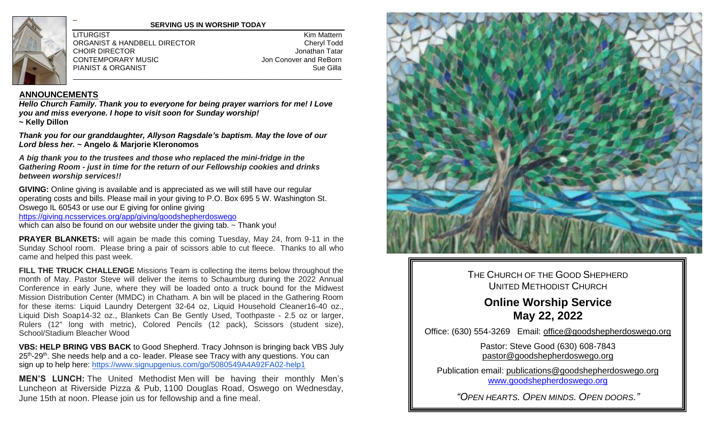

#### **SERVING US IN WORSHIP TODAY**

ORGANIST & HANDBELL DIRECTOR Cheryl Todd CHOIR DIRECTOR **CHOIR CHOIR CHOIR CHOIR** CONTEMPORARY MUSIC **CONTEMPORARY MUSIC Jon Conover and ReBorn** PIANIST & ORGANIST \_\_\_\_\_\_\_\_\_\_\_\_\_\_\_\_\_\_\_\_\_\_\_\_\_\_\_\_\_\_\_\_\_\_\_\_\_\_\_\_\_\_\_\_\_\_\_\_\_\_\_\_\_\_\_\_\_\_\_\_\_\_\_\_\_\_\_\_

LITURGIST Kim Mattern

#### **ANNOUNCEMENTS**

\_

*Hello Church Family. Thank you to everyone for being prayer warriors for me! I Love you and miss everyone. I hope to visit soon for Sunday worship!* **~ Kelly Dillon**

*Thank you for our granddaughter, Allyson Ragsdale's baptism. May the love of our Lord bless her.* **~ Angelo & Marjorie Kleronomos**

*A big thank you to the trustees and those who replaced the mini-fridge in the Gathering Room - just in time for the return of our Fellowship cookies and drinks between worship services!!*

**GIVING:** Online giving is available and is appreciated as we will still have our regular operating costs and bills. Please mail in your giving to P.O. Box 695 5 W. Washington St. Oswego IL 60543 or use our E giving for online giving <https://giving.ncsservices.org/app/giving/goodshepherdoswego>

which can also be found on our website under the giving tab. ~ Thank you!

**PRAYER BLANKETS:** will again be made this coming Tuesday, May 24, from 9-11 in the Sunday School room. Please bring a pair of scissors able to cut fleece. Thanks to all who came and helped this past week.

**FILL THE TRUCK CHALLENGE** Missions Team is collecting the items below throughout the month of May. Pastor Steve will deliver the items to Schaumburg during the 2022 Annual Conference in early June, where they will be loaded onto a truck bound for the Midwest Mission Distribution Center (MMDC) in Chatham. A bin will be placed in the Gathering Room for these items: Liquid Laundry Detergent 32-64 oz, Liquid Household Cleaner16-40 oz., Liquid Dish Soap14-32 oz., Blankets Can Be Gently Used, Toothpaste - 2.5 oz or larger, Rulers (12" long with metric), Colored Pencils (12 pack), Scissors (student size), School/Stadium Bleacher Wood

**VBS: HELP BRING VBS BACK** to Good Shepherd. Tracy Johnson is bringing back VBS July 25<sup>th</sup>-29<sup>th</sup>. She needs help and a co- leader. Please see Tracy with any questions. You can sign up to help here:<https://www.signupgenius.com/go/5080549A4A92FA02-help1>

**MEN'S LUNCH:** The United Methodist Men will be having their monthly Men's Luncheon at Riverside Pizza & Pub, 1100 Douglas Road, Oswego on Wednesday, June 15th at noon. Please join us for fellowship and a fine meal.



THE CHURCH OF THE GOOD SHEPHERD UNITED METHODIST CHURCH

# **Online Worship Service May 22, 2022**

Office: (630) 554-3269 Email: [office@goodshepherdoswego.org](mailto:office@goodshepherdoswego.org)

Pastor: Steve Good (630) 608-7843 pastor@goodshepherdoswego.org

Publication email: [publications@goodshepherdoswego.org](mailto:publications@goodshepherdoswego.org) [www.goodshepherdoswego.org](http://www.goodshepherdoswego.org/)

*"OPEN HEARTS. OPEN MINDS. OPEN DOORS."*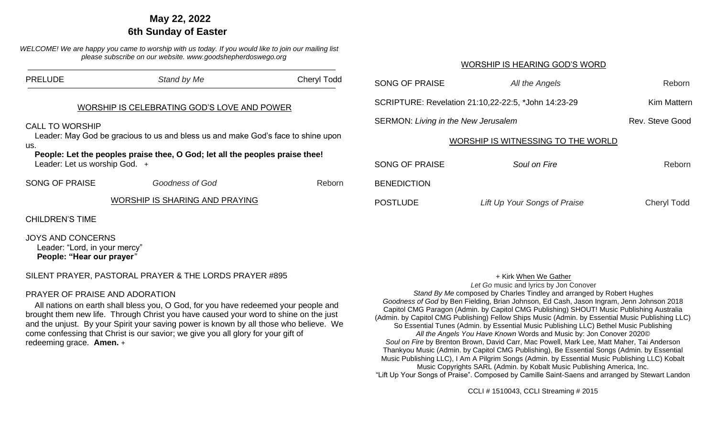# **…. May 22, 2022 6th Sunday of Easter**

*WELCOME! We are happy you came to worship with us today. If you would like to join our mailing list please subscribe on our website. www.goodshepherdoswego.org*

| <b>PRELUDE</b>                                                                                                                                                                                                                                                                    | Stand by Me                    | <b>Cheryl Todd</b> | <b>SONG OF PRAISE</b>                               | All the Angels               | Reborn             |
|-----------------------------------------------------------------------------------------------------------------------------------------------------------------------------------------------------------------------------------------------------------------------------------|--------------------------------|--------------------|-----------------------------------------------------|------------------------------|--------------------|
| WORSHIP IS CELEBRATING GOD'S LOVE AND POWER<br><b>CALL TO WORSHIP</b><br>Leader: May God be gracious to us and bless us and make God's face to shine upon<br>us.<br>People: Let the peoples praise thee, O God; let all the peoples praise thee!<br>Leader: Let us worship God. + |                                |                    | SCRIPTURE: Revelation 21:10,22-22:5, *John 14:23-29 |                              | <b>Kim Mattern</b> |
|                                                                                                                                                                                                                                                                                   |                                |                    | <b>SERMON: Living in the New Jerusalem</b>          |                              | Rev. Steve Good    |
|                                                                                                                                                                                                                                                                                   |                                |                    | WORSHIP IS WITNESSING TO THE WORLD                  |                              |                    |
|                                                                                                                                                                                                                                                                                   |                                |                    | <b>SONG OF PRAISE</b>                               | Soul on Fire                 | Reborn             |
| <b>SONG OF PRAISE</b>                                                                                                                                                                                                                                                             | Goodness of God                | Reborn             | <b>BENEDICTION</b>                                  |                              |                    |
|                                                                                                                                                                                                                                                                                   | WORSHIP IS SHARING AND PRAYING |                    | <b>POSTLUDE</b>                                     | Lift Up Your Songs of Praise | <b>Cheryl Todd</b> |
| <b>CHILDREN'S TIME</b>                                                                                                                                                                                                                                                            |                                |                    |                                                     |                              |                    |

JOYS AND CONCERNS

 Leader: "Lord, in your mercy" **People: "Hear our prayer***"*

## SILENT PRAYER, PASTORAL PRAYER & THE LORDS PRAYER #895

## PRAYER OF PRAISE AND ADORATION

 All nations on earth shall bless you, O God, for you have redeemed your people and brought them new life. Through Christ you have caused your word to shine on the just and the unjust. By your Spirit your saving power is known by all those who believe. We come confessing that Christ is our savior; we give you all glory for your gift of redeeming grace. **Amen.** +

#### + Kirk When We Gather

WORSHIP IS HEARING GOD'S WORD

*Let Go* music and lyrics by Jon Conover *Stand By Me* composed by Charles Tindley and arranged by Robert Hughes *Goodness of God* by Ben Fielding, Brian Johnson, Ed Cash, Jason Ingram, Jenn Johnson 2018 Capitol CMG Paragon (Admin. by Capitol CMG Publishing) SHOUT! Music Publishing Australia (Admin. by Capitol CMG Publishing) Fellow Ships Music (Admin. by Essential Music Publishing LLC) So Essential Tunes (Admin. by Essential Music Publishing LLC) Bethel Music Publishing *All the Angels You Have Known* Words and Music by: Jon Conover 2020© *Soul on Fire* by Brenton Brown, David Carr, Mac Powell, Mark Lee, Matt Maher, Tai Anderson Thankyou Music (Admin. by Capitol CMG Publishing), Be Essential Songs (Admin. by Essential Music Publishing LLC), I Am A Pilgrim Songs (Admin. by Essential Music Publishing LLC) Kobalt Music Copyrights SARL (Admin. by Kobalt Music Publishing America, Inc. "Lift Up Your Songs of Praise". Composed by Camille Saint-Saens and arranged by Stewart Landon

CCLI # 1510043, CCLI Streaming # 2015